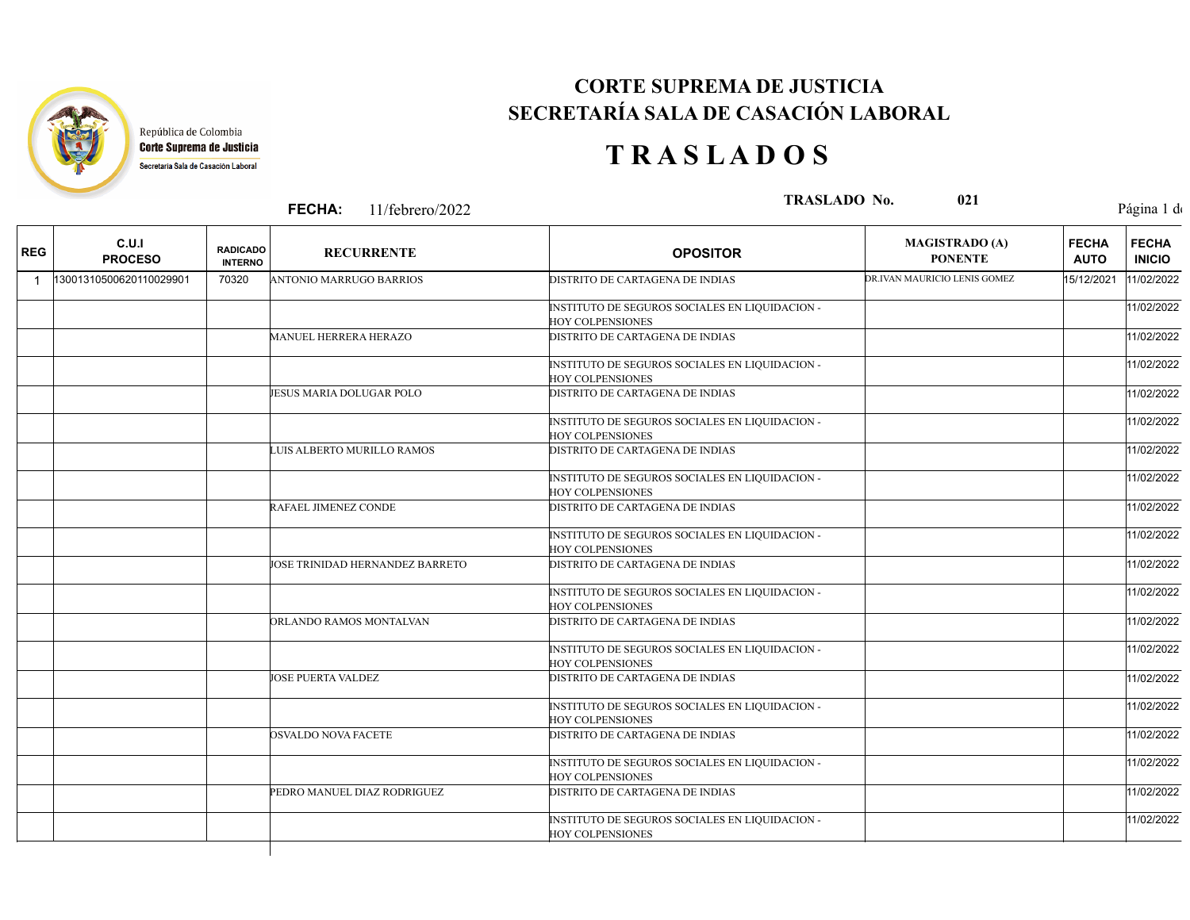

### **CORTE SUPREMA DE JUSTICIA SECRETARÍA SALA DE CASACIÓN LABORAL**

## **T R A S L A D O S**

**FECHA:**

**11/febrero/2022** Página 1 de 3 **TRASLADO No. 11/febrero/2022** Página 1 de

| <b>REG</b> | C.U.I<br><b>PROCESO</b> | <b>RADICADO</b><br><b>INTERNO</b> | <b>RECURRENTE</b>               | <b>OPOSITOR</b>                                                           | <b>MAGISTRADO (A)</b><br><b>PONENTE</b> | <b>FECHA</b><br><b>AUTO</b> | <b>FECHA</b><br><b>INICIO</b> |
|------------|-------------------------|-----------------------------------|---------------------------------|---------------------------------------------------------------------------|-----------------------------------------|-----------------------------|-------------------------------|
|            | 13001310500620110029901 | 70320                             | <b>ANTONIO MARRUGO BARRIOS</b>  | <b>DISTRITO DE CARTAGENA DE INDIAS</b>                                    | DR.IVAN MAURICIO LENIS GOMEZ            | 15/12/2021                  | 11/02/2022                    |
|            |                         |                                   |                                 | INSTITUTO DE SEGUROS SOCIALES EN LIQUIDACION -<br><b>HOY COLPENSIONES</b> |                                         |                             | 11/02/2022                    |
|            |                         |                                   | <b>MANUEL HERRERA HERAZO</b>    | DISTRITO DE CARTAGENA DE INDIAS                                           |                                         |                             | 11/02/2022                    |
|            |                         |                                   |                                 | INSTITUTO DE SEGUROS SOCIALES EN LIQUIDACION -<br><b>HOY COLPENSIONES</b> |                                         |                             | 11/02/2022                    |
|            |                         |                                   | JESUS MARIA DOLUGAR POLO        | DISTRITO DE CARTAGENA DE INDIAS                                           |                                         |                             | 11/02/2022                    |
|            |                         |                                   |                                 | INSTITUTO DE SEGUROS SOCIALES EN LIQUIDACION -<br>HOY COLPENSIONES        |                                         |                             | 11/02/2022                    |
|            |                         |                                   | LUIS ALBERTO MURILLO RAMOS      | DISTRITO DE CARTAGENA DE INDIAS                                           |                                         |                             | 11/02/2022                    |
|            |                         |                                   |                                 | INSTITUTO DE SEGUROS SOCIALES EN LIQUIDACION -<br><b>HOY COLPENSIONES</b> |                                         |                             | 11/02/2022                    |
|            |                         |                                   | RAFAEL JIMENEZ CONDE            | DISTRITO DE CARTAGENA DE INDIAS                                           |                                         |                             | 11/02/2022                    |
|            |                         |                                   |                                 | INSTITUTO DE SEGUROS SOCIALES EN LIQUIDACION -<br><b>HOY COLPENSIONES</b> |                                         |                             | 11/02/2022                    |
|            |                         |                                   | JOSE TRINIDAD HERNANDEZ BARRETO | DISTRITO DE CARTAGENA DE INDIAS                                           |                                         |                             | 11/02/2022                    |
|            |                         |                                   |                                 | INSTITUTO DE SEGUROS SOCIALES EN LIQUIDACION -<br><b>HOY COLPENSIONES</b> |                                         |                             | 11/02/2022                    |
|            |                         |                                   | ORLANDO RAMOS MONTALVAN         | DISTRITO DE CARTAGENA DE INDIAS                                           |                                         |                             | 11/02/2022                    |
|            |                         |                                   |                                 | INSTITUTO DE SEGUROS SOCIALES EN LIQUIDACION -<br><b>HOY COLPENSIONES</b> |                                         |                             | 11/02/2022                    |
|            |                         |                                   | JOSE PUERTA VALDEZ              | DISTRITO DE CARTAGENA DE INDIAS                                           |                                         |                             | 11/02/2022                    |
|            |                         |                                   |                                 | INSTITUTO DE SEGUROS SOCIALES EN LIQUIDACION -<br><b>HOY COLPENSIONES</b> |                                         |                             | 11/02/2022                    |
|            |                         |                                   | OSVALDO NOVA FACETE             | DISTRITO DE CARTAGENA DE INDIAS                                           |                                         |                             | 11/02/2022                    |
|            |                         |                                   |                                 | INSTITUTO DE SEGUROS SOCIALES EN LIQUIDACION -<br><b>HOY COLPENSIONES</b> |                                         |                             | 11/02/2022                    |
|            |                         |                                   | PEDRO MANUEL DIAZ RODRIGUEZ     | DISTRITO DE CARTAGENA DE INDIAS                                           |                                         |                             | 11/02/2022                    |
|            |                         |                                   |                                 | INSTITUTO DE SEGUROS SOCIALES EN LIQUIDACION -<br><b>HOY COLPENSIONES</b> |                                         |                             | 11/02/2022                    |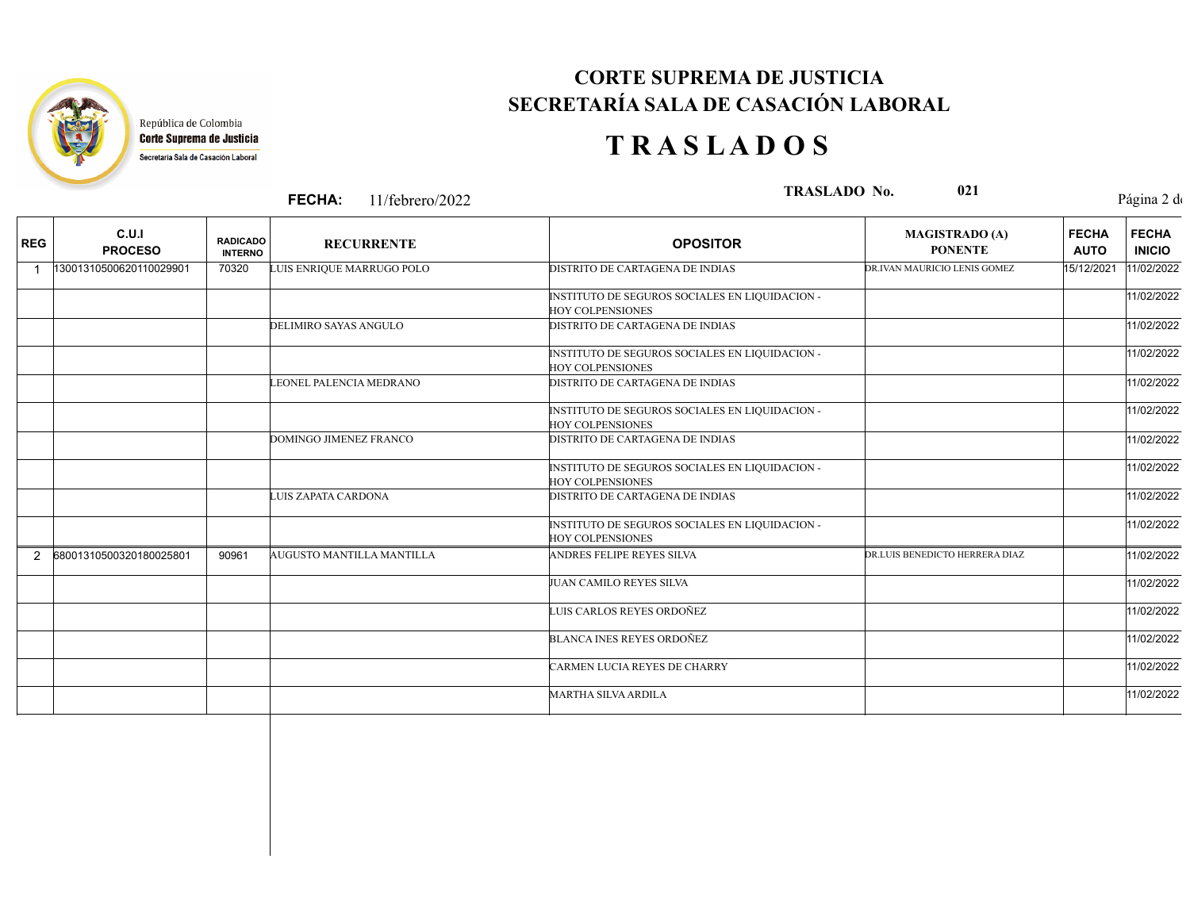

### **CORTE SUPREMA DE JUSTICIA SECRETARÍA SALA DE CASACIÓN LABORAL**

# **T R A S L A D O S**

**FECHA:**

**11/febrero/2022** Página 2 de 3 **TRASLADO No. 11/febrero/2022** Página 2 de

| <b>REG</b> | C.U.I<br><b>PROCESO</b> | <b>RADICADO</b><br><b>INTERNO</b> | <b>RECURRENTE</b>             | <b>OPOSITOR</b>                                                           | <b>MAGISTRADO (A)</b><br><b>PONENTE</b> | <b>FECHA</b><br><b>AUTO</b> | <b>FECHA</b><br><b>INICIO</b> |
|------------|-------------------------|-----------------------------------|-------------------------------|---------------------------------------------------------------------------|-----------------------------------------|-----------------------------|-------------------------------|
| 1          | 13001310500620110029901 | 70320                             | LUIS ENRIQUE MARRUGO POLO     | DISTRITO DE CARTAGENA DE INDIAS                                           | DR.IVAN MAURICIO LENIS GOMEZ            | 15/12/2021                  | 11/02/2022                    |
|            |                         |                                   |                               | INSTITUTO DE SEGUROS SOCIALES EN LIQUIDACION -<br><b>HOY COLPENSIONES</b> |                                         |                             | 11/02/2022                    |
|            |                         |                                   | <b>DELIMIRO SAYAS ANGULO</b>  | DISTRITO DE CARTAGENA DE INDIAS                                           |                                         |                             | 11/02/2022                    |
|            |                         |                                   |                               | INSTITUTO DE SEGUROS SOCIALES EN LIQUIDACION -<br><b>HOY COLPENSIONES</b> |                                         |                             | 11/02/2022                    |
|            |                         |                                   | LEONEL PALENCIA MEDRANO       | <b>DISTRITO DE CARTAGENA DE INDIAS</b>                                    |                                         |                             | 11/02/2022                    |
|            |                         |                                   |                               | INSTITUTO DE SEGUROS SOCIALES EN LIQUIDACION -<br><b>HOY COLPENSIONES</b> |                                         |                             | 11/02/2022                    |
|            |                         |                                   | <b>DOMINGO JIMENEZ FRANCO</b> | DISTRITO DE CARTAGENA DE INDIAS                                           |                                         |                             | 11/02/2022                    |
|            |                         |                                   |                               | INSTITUTO DE SEGUROS SOCIALES EN LIQUIDACION -<br><b>HOY COLPENSIONES</b> |                                         |                             | 11/02/2022                    |
|            |                         |                                   | LUIS ZAPATA CARDONA           | DISTRITO DE CARTAGENA DE INDIAS                                           |                                         |                             | 11/02/2022                    |
|            |                         |                                   |                               | INSTITUTO DE SEGUROS SOCIALES EN LIQUIDACION -<br><b>HOY COLPENSIONES</b> |                                         |                             | 11/02/2022                    |
| 2          | 68001310500320180025801 | 90961                             | AUGUSTO MANTILLA MANTILLA     | ANDRES FELIPE REYES SILVA                                                 | DR.LUIS BENEDICTO HERRERA DIAZ          |                             | 11/02/2022                    |
|            |                         |                                   |                               | JUAN CAMILO REYES SILVA                                                   |                                         |                             | 11/02/2022                    |
|            |                         |                                   |                               | LUIS CARLOS REYES ORDOÑEZ                                                 |                                         |                             | 11/02/2022                    |
|            |                         |                                   |                               | <b>BLANCA INES REYES ORDOÑEZ</b>                                          |                                         |                             | 11/02/2022                    |
|            |                         |                                   |                               | CARMEN LUCIA REYES DE CHARRY                                              |                                         |                             | 11/02/2022                    |
|            |                         |                                   |                               | <b>MARTHA SILVA ARDILA</b>                                                |                                         |                             | 11/02/2022                    |